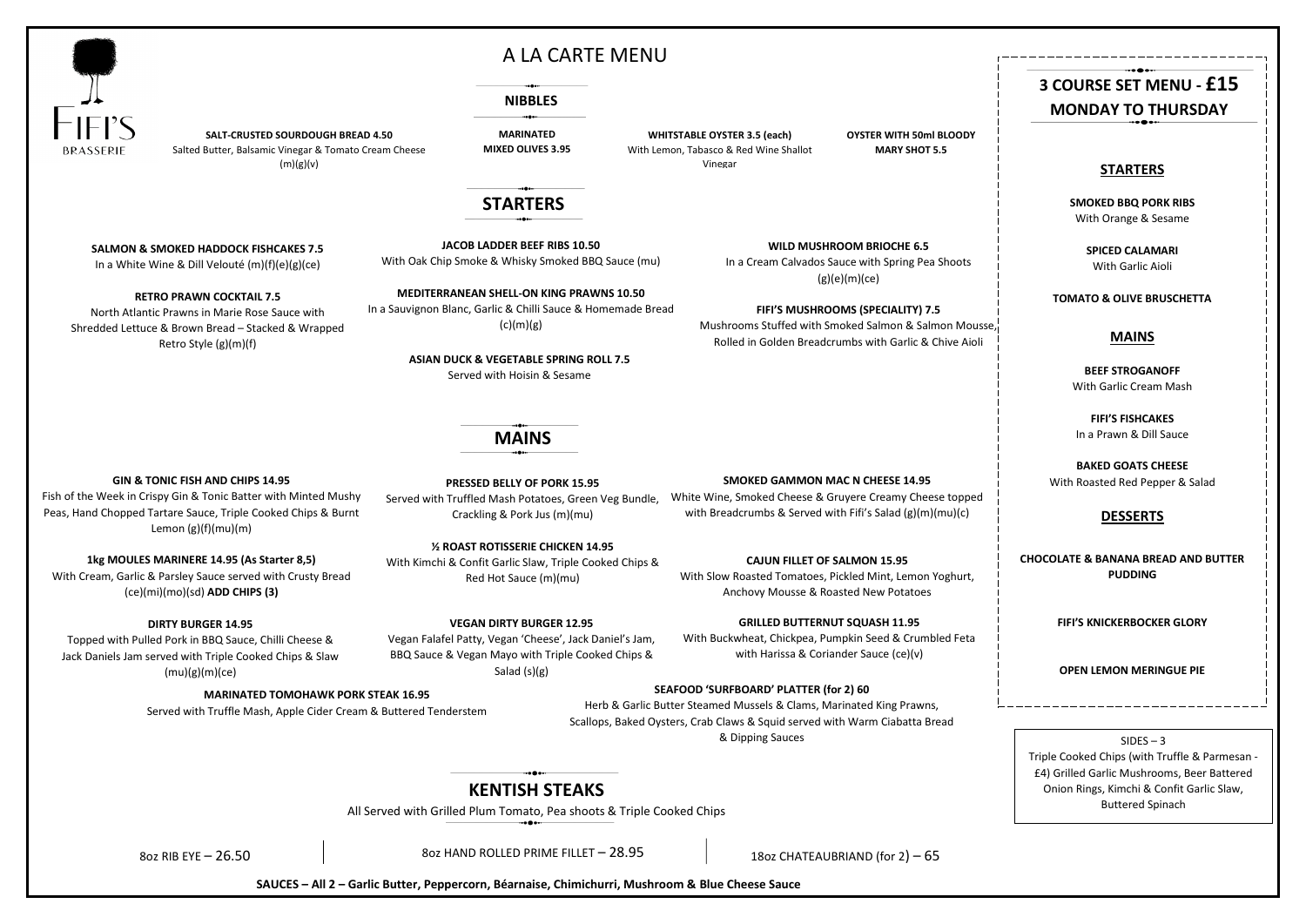### **MAINS**

**JACOB LADDER BEEF RIBS 10.50** With Oak Chip Smoke & Whisky Smoked BBQ Sauce (mu)

In a Sauvignon Blanc, Garlic & Chilli Sauce & Homemade Bread  $(c)(m)(g)$ 

**SALT-CRUSTED SOURDOUGH BREAD 4.50** Salted Butter, Balsamic Vinegar & Tomato Cream Cheese  $(m)(g)(v)$ 

**MEDITERRANEAN SHELL-ON KING PRAWNS 10.50**

#### **NIBBLES**

#### **WILD MUSHROOM BRIOCHE 6.5**

In a Cream Calvados Sauce with Spring Pea Shoots (g)(e)(m)(ce)

#### **FIFI'S MUSHROOMS (SPECIALITY) 7.5**

Mushrooms Stuffed with Smoked Salmon & Salmon Mousse, Rolled in Golden Breadcrumbs with Garlic & Chive Aioli

**SALMON & SMOKED HADDOCK FISHCAKES 7.5**

In a White Wine & Dill Velouté (m)(f)(e)(g)(ce)

**RETRO PRAWN COCKTAIL 7.5**

North Atlantic Prawns in Marie Rose Sauce with Shredded Lettuce & Brown Bread – Stacked & Wrapped Retro Style (g)(m)(f)

#### **GIN & TONIC FISH AND CHIPS 14.95**

Fish of the Week in Crispy Gin & Tonic Batter with Minted Mushy Peas, Hand Chopped Tartare Sauce, Triple Cooked Chips & Burnt Lemon (g)(f)(mu)(m)

**1kg MOULES MARINERE 14.95 (As Starter 8,5)**

With Cream, Garlic & Parsley Sauce served with Crusty Bread (ce)(mi)(mo)(sd) **ADD CHIPS (3)**

#### **SMOKED GAMMON MAC N CHEESE 14.95**

White Wine, Smoked Cheese & Gruyere Creamy Cheese topped with Breadcrumbs & Served with Fifi's Salad (g)(m)(mu)(c)

#### **CAJUN FILLET OF SALMON 15.95**

With Slow Roasted Tomatoes, Pickled Mint, Lemon Yoghurt, Anchovy Mousse & Roasted New Potatoes

#### **DIRTY BURGER 14.95**

Topped with Pulled Pork in BBQ Sauce, Chilli Cheese & Jack Daniels Jam served with Triple Cooked Chips & Slaw (mu)(g)(m)(ce)

#### **VEGAN DIRTY BURGER 12.95**

Vegan Falafel Patty, Vegan 'Cheese', Jack Daniel's Jam, BBQ Sauce & Vegan Mayo with Triple Cooked Chips & Salad (s)(g)

#### **GRILLED BUTTERNUT SQUASH 11.95**

With Buckwheat, Chickpea, Pumpkin Seed & Crumbled Feta with Harissa & Coriander Sauce (ce)(v)

#### **STARTERS**

**SMOKED BBQ PORK RIBS** With Orange & Sesame

> **SPICED CALAMARI** With Garlic Aioli

**TOMATO & OLIVE BRUSCHETTA** 

#### **MAINS**

**BEEF STROGANOFF** With Garlic Cream Mash

**FIFI'S FISHCAKES** In a Prawn & Dill Sauce

**BAKED GOATS CHEESE** With Roasted Red Pepper & Salad

#### **DESSERTS**

**CHOCOLATE & BANANA BREAD AND BUTTER PUDDING**

**FIFI'S KNICKERBOCKER GLORY**

#### **OPEN LEMON MERINGUE PIE**

 $SIDES - 3$ 

# **3 COURSE SET MENU - £15 MONDAY TO THURSDAY**

### **STARTERS**

# **KENTISH STEAKS**

All Served with Grilled Plum Tomato, Pea shoots & Triple Cooked Chips

8oz RIB EYE – 26.50  $\vert$  8oz HAND ROLLED PRIME FILLET – 28.95  $\vert$  18oz CHATEAUBRIAND (for 2) – 65

**MARINATED MIXED OLIVES 3.95**

**WHITSTABLE OYSTER 3.5 (each)** With Lemon, Tabasco & Red Wine Shallot Vinegar



# A LA CARTE MENU

**SAUCES – All 2 – Garlic Butter, Peppercorn, Béarnaise, Chimichurri, Mushroom & Blue Cheese Sauce** 

#### **PRESSED BELLY OF PORK 15.95**

Served with Truffled Mash Potatoes, Green Veg Bundle,

# Crackling & Pork Jus (m)(mu)

# **½ ROAST ROTISSERIE CHICKEN 14.95**

With Kimchi & Confit Garlic Slaw, Triple Cooked Chips & Red Hot Sauce (m)(mu)

> Triple Cooked Chips (with Truffle & Parmesan - £4) Grilled Garlic Mushrooms, Beer Battered Onion Rings, Kimchi & Confit Garlic Slaw, Buttered Spinach

#### **MARINATED TOMOHAWK PORK STEAK 16.95**

Served with Truffle Mash, Apple Cider Cream & Buttered Tenderstem

#### **SEAFOOD 'SURFBOARD' PLATTER (for 2) 60**

Herb & Garlic Butter Steamed Mussels & Clams, Marinated King Prawns, Scallops, Baked Oysters, Crab Claws & Squid served with Warm Ciabatta Bread & Dipping Sauces

**OYSTER WITH 50ml BLOODY MARY SHOT 5.5**

**ASIAN DUCK & VEGETABLE SPRING ROLL 7.5**

Served with Hoisin & Sesame